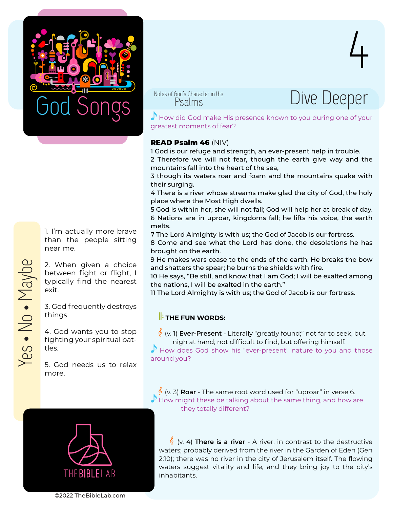

Psalms



4

 $\Gamma$  How did God make His presence known to you during one of your greatest moments of fear?

## READ Psalm 46 (NIV)

1 God is our refuge and strength, an ever-present help in trouble. 2 Therefore we will not fear, though the earth give way and the mountains fall into the heart of the sea,

3 though its waters roar and foam and the mountains quake with their surging.

4 There is a river whose streams make glad the city of God, the holy place where the Most High dwells.

5 God is within her, she will not fall; God will help her at break of day. 6 Nations are in uproar, kingdoms fall; he lifts his voice, the earth melts.

7 The Lord Almighty is with us; the God of Jacob is our fortress.

8 Come and see what the Lord has done, the desolations he has brought on the earth.

9 He makes wars cease to the ends of the earth. He breaks the bow and shatters the spear; he burns the shields with fire.

10 He says, "Be still, and know that I am God; I will be exalted among the nations, I will be exalted in the earth."

11 The Lord Almighty is with us; the God of Jacob is our fortress.

## **FE FUN WORDS:**

(v. 1) **Ever-Present** - Literally "greatly found;" not far to seek, but

 $\Gamma$  How does God show his "ever-present" nature to you and those around you?

 (v. 3) **Roar** - The same root word used for "uproar" in verse 6. How might these be talking about the same thing, and how are they totally different?



 (v. 4) **There is a river** - A river, in contrast to the destructive waters; probably derived from the river in the Garden of Eden (Gen 2:10); there was no river in the city of Jerusalem itself. The flowing waters suggest vitality and life, and they bring joy to the city's inhabitants.

1. I'm actually more brave than the people sitting near me.

2. When given a choice between fight or flight, I typically find the nearest exit.

3. God frequently destroys things.

4. God wants you to stop fighting your spiritual battles.

5. God needs us to relax more.